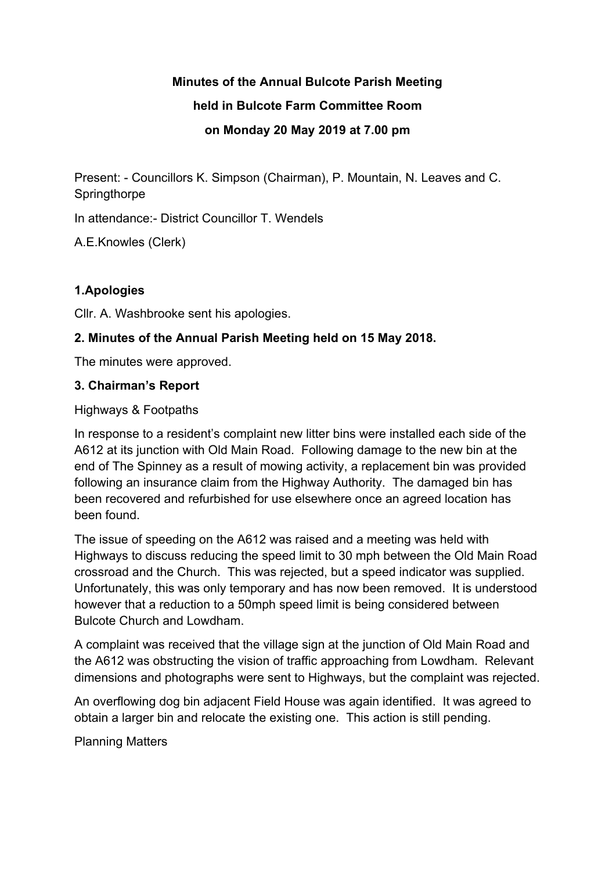#### **Minutes of the Annual Bulcote Parish Meeting**

### **held in Bulcote Farm Committee Room**

## **on Monday 20 May 2019 at 7.00 pm**

Present: - Councillors K. Simpson (Chairman), P. Mountain, N. Leaves and C. **Springthorpe** 

In attendance:- District Councillor T. Wendels

A.E.Knowles (Clerk)

# **1.Apologies**

Cllr. A. Washbrooke sent his apologies.

## **2. Minutes of the Annual Parish Meeting held on 15 May 2018.**

The minutes were approved.

## **3. Chairman's Report**

Highways & Footpaths

In response to a resident's complaint new litter bins were installed each side of the A612 at its junction with Old Main Road. Following damage to the new bin at the end of The Spinney as a result of mowing activity, a replacement bin was provided following an insurance claim from the Highway Authority. The damaged bin has been recovered and refurbished for use elsewhere once an agreed location has been found.

The issue of speeding on the A612 was raised and a meeting was held with Highways to discuss reducing the speed limit to 30 mph between the Old Main Road crossroad and the Church. This was rejected, but a speed indicator was supplied. Unfortunately, this was only temporary and has now been removed. It is understood however that a reduction to a 50mph speed limit is being considered between Bulcote Church and Lowdham.

A complaint was received that the village sign at the junction of Old Main Road and the A612 was obstructing the vision of traffic approaching from Lowdham. Relevant dimensions and photographs were sent to Highways, but the complaint was rejected.

An overflowing dog bin adjacent Field House was again identified. It was agreed to obtain a larger bin and relocate the existing one. This action is still pending.

Planning Matters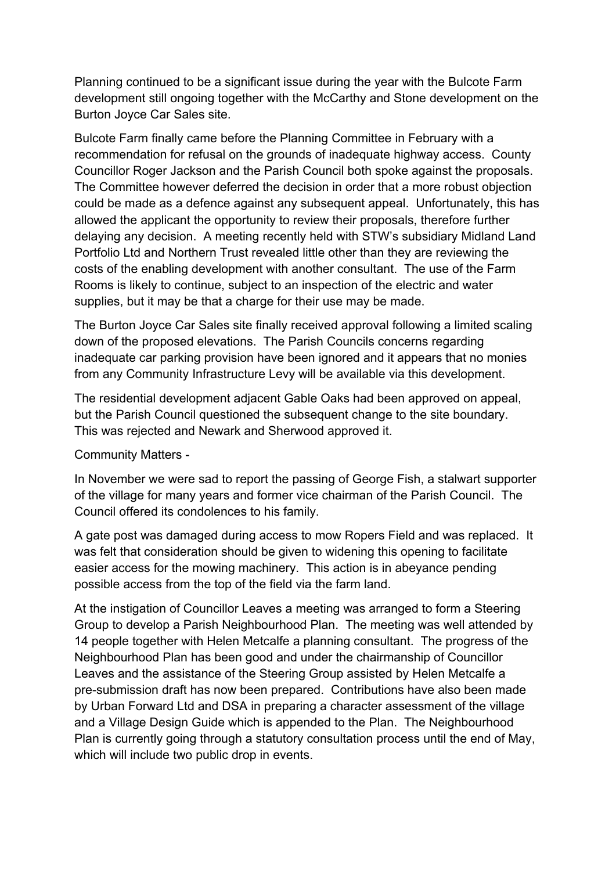Planning continued to be a significant issue during the year with the Bulcote Farm development still ongoing together with the McCarthy and Stone development on the Burton Joyce Car Sales site.

Bulcote Farm finally came before the Planning Committee in February with a recommendation for refusal on the grounds of inadequate highway access. County Councillor Roger Jackson and the Parish Council both spoke against the proposals. The Committee however deferred the decision in order that a more robust objection could be made as a defence against any subsequent appeal. Unfortunately, this has allowed the applicant the opportunity to review their proposals, therefore further delaying any decision. A meeting recently held with STW's subsidiary Midland Land Portfolio Ltd and Northern Trust revealed little other than they are reviewing the costs of the enabling development with another consultant. The use of the Farm Rooms is likely to continue, subject to an inspection of the electric and water supplies, but it may be that a charge for their use may be made.

The Burton Joyce Car Sales site finally received approval following a limited scaling down of the proposed elevations. The Parish Councils concerns regarding inadequate car parking provision have been ignored and it appears that no monies from any Community Infrastructure Levy will be available via this development.

The residential development adjacent Gable Oaks had been approved on appeal, but the Parish Council questioned the subsequent change to the site boundary. This was rejected and Newark and Sherwood approved it.

Community Matters -

In November we were sad to report the passing of George Fish, a stalwart supporter of the village for many years and former vice chairman of the Parish Council. The Council offered its condolences to his family.

A gate post was damaged during access to mow Ropers Field and was replaced. It was felt that consideration should be given to widening this opening to facilitate easier access for the mowing machinery. This action is in abeyance pending possible access from the top of the field via the farm land.

At the instigation of Councillor Leaves a meeting was arranged to form a Steering Group to develop a Parish Neighbourhood Plan. The meeting was well attended by 14 people together with Helen Metcalfe a planning consultant. The progress of the Neighbourhood Plan has been good and under the chairmanship of Councillor Leaves and the assistance of the Steering Group assisted by Helen Metcalfe a pre-submission draft has now been prepared. Contributions have also been made by Urban Forward Ltd and DSA in preparing a character assessment of the village and a Village Design Guide which is appended to the Plan. The Neighbourhood Plan is currently going through a statutory consultation process until the end of May, which will include two public drop in events.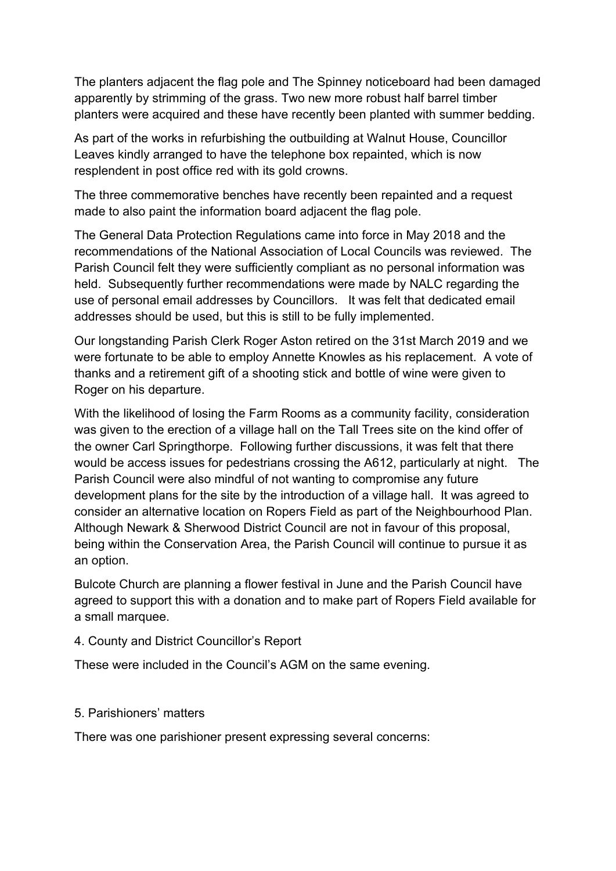The planters adjacent the flag pole and The Spinney noticeboard had been damaged apparently by strimming of the grass. Two new more robust half barrel timber planters were acquired and these have recently been planted with summer bedding.

As part of the works in refurbishing the outbuilding at Walnut House, Councillor Leaves kindly arranged to have the telephone box repainted, which is now resplendent in post office red with its gold crowns.

The three commemorative benches have recently been repainted and a request made to also paint the information board adjacent the flag pole.

The General Data Protection Regulations came into force in May 2018 and the recommendations of the National Association of Local Councils was reviewed. The Parish Council felt they were sufficiently compliant as no personal information was held. Subsequently further recommendations were made by NALC regarding the use of personal email addresses by Councillors. It was felt that dedicated email addresses should be used, but this is still to be fully implemented.

Our longstanding Parish Clerk Roger Aston retired on the 31st March 2019 and we were fortunate to be able to employ Annette Knowles as his replacement. A vote of thanks and a retirement gift of a shooting stick and bottle of wine were given to Roger on his departure.

With the likelihood of losing the Farm Rooms as a community facility, consideration was given to the erection of a village hall on the Tall Trees site on the kind offer of the owner Carl Springthorpe. Following further discussions, it was felt that there would be access issues for pedestrians crossing the A612, particularly at night. The Parish Council were also mindful of not wanting to compromise any future development plans for the site by the introduction of a village hall. It was agreed to consider an alternative location on Ropers Field as part of the Neighbourhood Plan. Although Newark & Sherwood District Council are not in favour of this proposal, being within the Conservation Area, the Parish Council will continue to pursue it as an option.

Bulcote Church are planning a flower festival in June and the Parish Council have agreed to support this with a donation and to make part of Ropers Field available for a small marquee.

#### 4. County and District Councillor's Report

These were included in the Council's AGM on the same evening.

#### 5. Parishioners' matters

There was one parishioner present expressing several concerns: